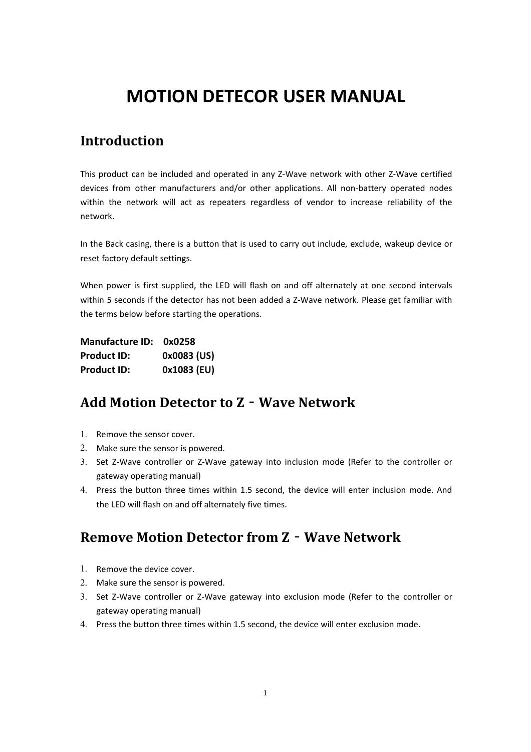# **MOTION DETECOR USER MANUAL**

### **Introduction**

This product can be included and operated in any Z‐Wave network with other Z‐Wave certified devices from other manufacturers and/or other applications. All non-battery operated nodes within the network will act as repeaters regardless of vendor to increase reliability of the network.

In the Back casing, there is a button that is used to carry out include, exclude, wakeup device or reset factory default settings.

When power is first supplied, the LED will flash on and off alternately at one second intervals within 5 seconds if the detector has not been added a Z-Wave network. Please get familiar with the terms below before starting the operations.

**Manufacture ID: 0x0258 Product ID: 0x0083 (US) Product ID: 0x1083 (EU)**

### **Add Motion Detector to Z**‐**Wave Network**

- 1. Remove the sensor cover.
- 2. Make sure the sensor is powered.
- 3. Set Z-Wave controller or Z-Wave gateway into inclusion mode (Refer to the controller or gateway operating manual)
- 4. Press the button three times within 1.5 second, the device will enter inclusion mode. And the LED will flash on and off alternately five times.

### **Remove Motion Detector from Z**‐**Wave Network**

- 1. Remove the device cover.
- 2. Make sure the sensor is powered.
- 3. Set Z‐Wave controller or Z‐Wave gateway into exclusion mode (Refer to the controller or gateway operating manual)
- 4. Press the button three times within 1.5 second, the device will enter exclusion mode.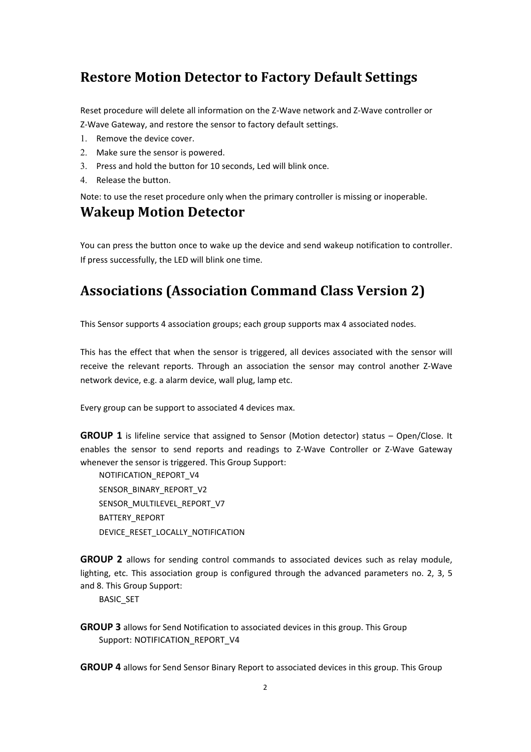### **Restore Motion Detector to Factory Default Settings**

Reset procedure will delete all information on the Z‐Wave network and Z‐Wave controller or Z‐Wave Gateway, and restore the sensor to factory default settings.

- 1. Remove the device cover.
- 2. Make sure the sensor is powered.
- 3. Press and hold the button for 10 seconds, Led will blink once.
- 4. Release the button.

Note: to use the reset procedure only when the primary controller is missing or inoperable.

### **Wakeup Motion Detector**

You can press the button once to wake up the device and send wakeup notification to controller. If press successfully, the LED will blink one time.

### **Associations (Association Command Class Version 2)**

This Sensor supports 4 association groups; each group supports max 4 associated nodes.

This has the effect that when the sensor is triggered, all devices associated with the sensor will receive the relevant reports. Through an association the sensor may control another Z‐Wave network device, e.g. a alarm device, wall plug, lamp etc.

Every group can be support to associated 4 devices max.

**GROUP 1** is lifeline service that assigned to Sensor (Motion detector) status – Open/Close. It enables the sensor to send reports and readings to Z‐Wave Controller or Z‐Wave Gateway whenever the sensor is triggered. This Group Support:

NOTIFICATION\_REPORT\_V4 SENSOR\_BINARY\_REPORT\_V2 SENSOR\_MULTILEVEL\_REPORT\_V7 BATTERY\_REPORT DEVICE\_RESET\_LOCALLY\_NOTIFICATION

**GROUP 2** allows for sending control commands to associated devices such as relay module, lighting, etc. This association group is configured through the advanced parameters no. 2, 3, 5 and 8. This Group Support:

BASIC\_SET

**GROUP 3** allows for Send Notification to associated devices in this group. This Group Support: NOTIFICATION\_REPORT\_V4

**GROUP 4** allows for Send Sensor Binary Report to associated devices in this group. This Group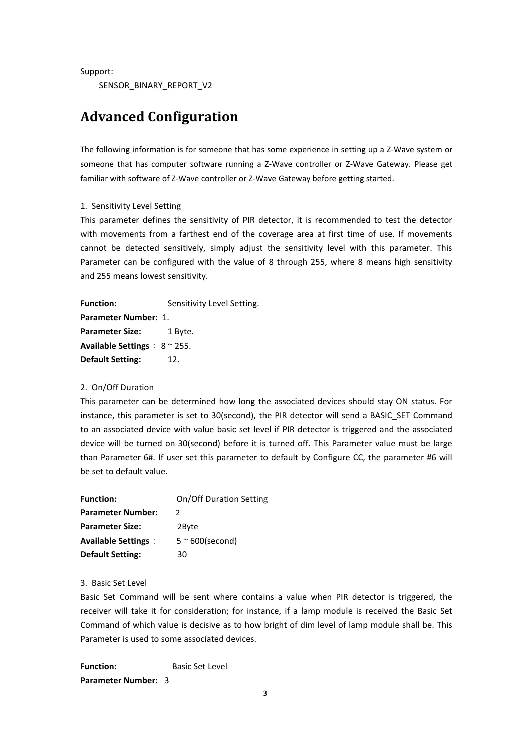Support:

SENSOR\_BINARY\_REPORT\_V2

### **Advanced Configuration**

The following information is for someone that has some experience in setting up a Z‐Wave system or someone that has computer software running a Z-Wave controller or Z-Wave Gateway. Please get familiar with software of Z‐Wave controller or Z‐Wave Gateway before getting started.

#### 1. Sensitivity Level Setting

This parameter defines the sensitivity of PIR detector, it is recommended to test the detector with movements from a farthest end of the coverage area at first time of use. If movements cannot be detected sensitively, simply adjust the sensitivity level with this parameter. This Parameter can be configured with the value of 8 through 255, where 8 means high sensitivity and 255 means lowest sensitivity.

**Function:** Sensitivity Level Setting. **Parameter Number:** 1. **Parameter Size:** 1 Byte. **Available Settings**: 8 ~ 255. **Default Setting:** 12.

#### 2. On/Off Duration

This parameter can be determined how long the associated devices should stay ON status. For instance, this parameter is set to 30(second), the PIR detector will send a BASIC\_SET Command to an associated device with value basic set level if PIR detector is triggered and the associated device will be turned on 30(second) before it is turned off. This Parameter value must be large than Parameter 6#. If user set this parameter to default by Configure CC, the parameter #6 will be set to default value.

| <b>Function:</b>           | On/Off Duration Setting  |
|----------------------------|--------------------------|
| <b>Parameter Number:</b>   |                          |
| <b>Parameter Size:</b>     | 2Byte                    |
| <b>Available Settings:</b> | $5 \approx 600$ (second) |
| <b>Default Setting:</b>    | 30                       |

#### 3. Basic Set Level

Basic Set Command will be sent where contains a value when PIR detector is triggered, the receiver will take it for consideration; for instance, if a lamp module is received the Basic Set Command of which value is decisive as to how bright of dim level of lamp module shall be. This Parameter is used to some associated devices.

**Function:** Basic Set Level **Parameter Number:** 3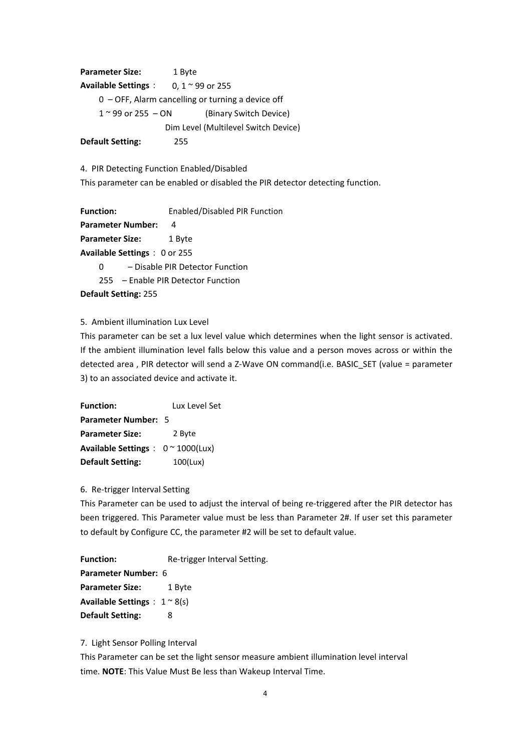**Parameter Size:** 1 Byte **Available Settings**: 0, 1 ~ 99 or 255 0 – OFF, Alarm cancelling or turning a device off  $1 <sup>0</sup>$  99 or 255 – ON (Binary Switch Device) Dim Level (Multilevel Switch Device) **Default Setting:** 255

4. PIR Detecting Function Enabled/Disabled

This parameter can be enabled or disabled the PIR detector detecting function.

**Function:** Enabled/Disabled PIR Function **Parameter Number:** 4 **Parameter Size:** 1 Byte **Available Settings**: 0 or 255 0 – Disable PIR Detector Function 255 – Enable PIR Detector Function **Default Setting:** 255

5. Ambient illumination Lux Level

This parameter can be set a lux level value which determines when the light sensor is activated. If the ambient illumination level falls below this value and a person moves across or within the detected area , PIR detector will send a Z-Wave ON command(i.e. BASIC\_SET (value = parameter 3) to an associated device and activate it.

**Function:** Lux Level Set **Parameter Number:** 5 **Parameter Size:** 2 Byte **Available Settings**: 0 ~ 1000(Lux) **Default Setting:** 100(Lux)

#### 6. Re‐trigger Interval Setting

This Parameter can be used to adjust the interval of being re-triggered after the PIR detector has been triggered. This Parameter value must be less than Parameter 2#. If user set this parameter to default by Configure CC, the parameter #2 will be set to default value.

Function: Re-trigger Interval Setting. **Parameter Number:** 6 **Parameter Size:** 1 Byte **Available Settings**: 1 ~ 8(s) **Default Setting:** 8

7. Light Sensor Polling Interval

This Parameter can be set the light sensor measure ambient illumination level interval time. **NOTE**: This Value Must Be less than Wakeup Interval Time.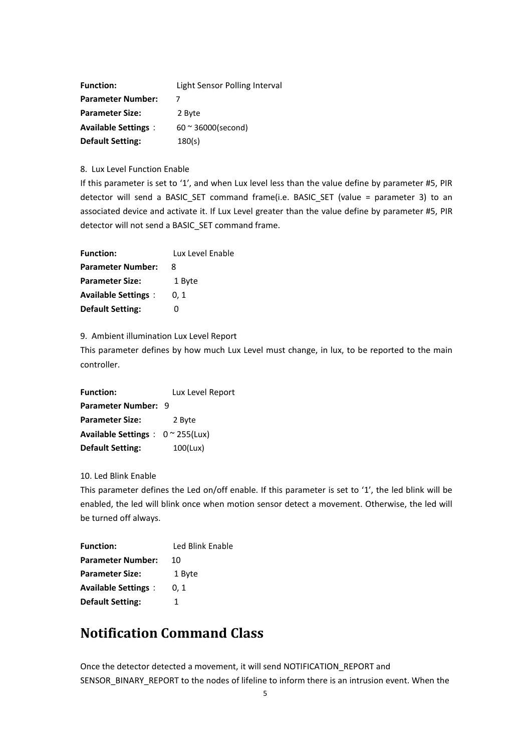| <b>Function:</b>           | Light Sensor Polling Interval |
|----------------------------|-------------------------------|
| <b>Parameter Number:</b>   |                               |
| <b>Parameter Size:</b>     | 2 Byte                        |
| <b>Available Settings:</b> | $60 \approx 36000$ (second)   |
| <b>Default Setting:</b>    | 180(s)                        |

8. Lux Level Function Enable

If this parameter is set to '1', and when Lux level less than the value define by parameter #5, PIR detector will send a BASIC SET command frame(i.e. BASIC SET (value = parameter 3) to an associated device and activate it. If Lux Level greater than the value define by parameter #5, PIR detector will not send a BASIC\_SET command frame.

| <b>Function:</b>           | Lux Level Enable |
|----------------------------|------------------|
| <b>Parameter Number:</b>   | -8               |
| <b>Parameter Size:</b>     | 1 Byte           |
| <b>Available Settings:</b> | 0.1              |
| <b>Default Setting:</b>    |                  |

9. Ambient illumination Lux Level Report

This parameter defines by how much Lux Level must change, in lux, to be reported to the main controller.

**Function:** Lux Level Report **Parameter Number:** 9 **Parameter Size:** 2 Byte **Available Settings**: 0 ~ 255(Lux) **Default Setting:** 100(Lux)

10. Led Blink Enable

This parameter defines the Led on/off enable. If this parameter is set to '1', the led blink will be enabled, the led will blink once when motion sensor detect a movement. Otherwise, the led will be turned off always.

**Function:** Led Blink Enable **Parameter Number: 10 Parameter Size:** 1 Byte **Available Settings**: 0, 1 **Default Setting:** 1

### **Notification Command Class**

Once the detector detected a movement, it will send NOTIFICATION\_REPORT and SENSOR\_BINARY\_REPORT to the nodes of lifeline to inform there is an intrusion event. When the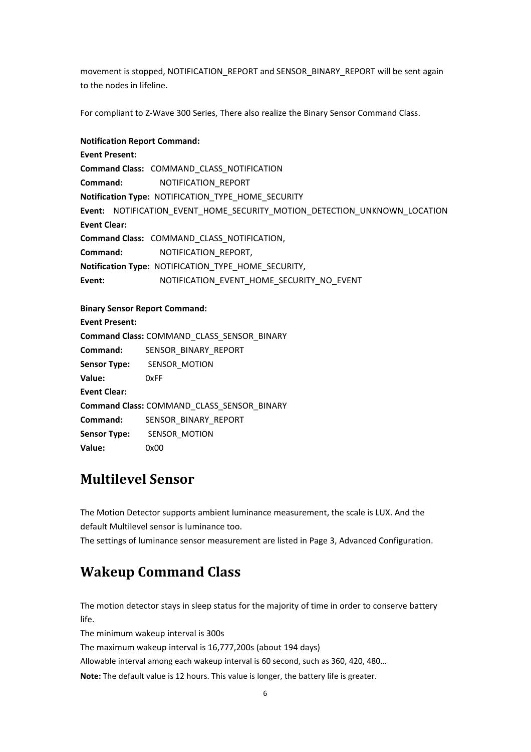movement is stopped, NOTIFICATION\_REPORT and SENSOR\_BINARY\_REPORT will be sent again to the nodes in lifeline.

For compliant to Z‐Wave 300 Series, There also realize the Binary Sensor Command Class.

#### **Notification Report Command:**

**Event Present: Command Class:** COMMAND\_CLASS\_NOTIFICATION **Command:** NOTIFICATION\_REPORT **Notification Type:** NOTIFICATION\_TYPE\_HOME\_SECURITY **Event:** NOTIFICATION\_EVENT\_HOME\_SECURITY\_MOTION\_DETECTION\_UNKNOWN\_LOCATION **Event Clear: Command Class:** COMMAND\_CLASS\_NOTIFICATION, **Command:** NOTIFICATION\_REPORT, **Notification Type:** NOTIFICATION\_TYPE\_HOME\_SECURITY, Event: NOTIFICATION\_EVENT\_HOME\_SECURITY\_NO\_EVENT

#### **Binary Sensor Report Command:**

| <b>Event Present:</b>                      |                                      |  |  |  |
|--------------------------------------------|--------------------------------------|--|--|--|
| Command Class: COMMAND_CLASS_SENSOR_BINARY |                                      |  |  |  |
| Command:                                   | SENSOR BINARY REPORT                 |  |  |  |
|                                            | <b>Sensor Type:</b> SENSOR MOTION    |  |  |  |
| Value:                                     | 0xFF                                 |  |  |  |
| <b>Event Clear:</b>                        |                                      |  |  |  |
| Command Class: COMMAND CLASS SENSOR BINARY |                                      |  |  |  |
|                                            | <b>Command: SENSOR BINARY REPORT</b> |  |  |  |
|                                            | <b>Sensor Type:</b> SENSOR MOTION    |  |  |  |
| Value:                                     | 0x00                                 |  |  |  |

### **Multilevel Sensor**

The Motion Detector supports ambient luminance measurement, the scale is LUX. And the default Multilevel sensor is luminance too.

The settings of luminance sensor measurement are listed in Page 3, Advanced Configuration.

## **Wakeup Command Class**

The motion detector stays in sleep status for the majority of time in order to conserve battery life.

The minimum wakeup interval is 300s

The maximum wakeup interval is 16,777,200s (about 194 days)

Allowable interval among each wakeup interval is 60 second, such as 360, 420, 480…

**Note:** The default value is 12 hours. This value is longer, the battery life is greater.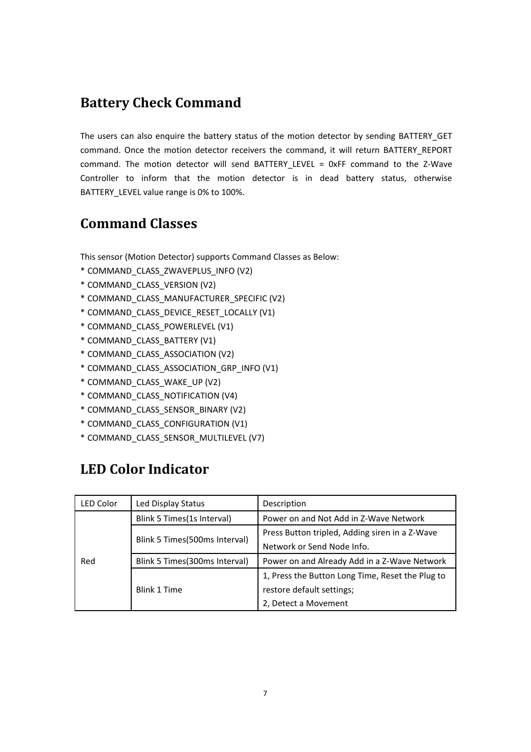### **Battery Check Command**

The users can also enquire the battery status of the motion detector by sending BATTERY GET command. Once the motion detector receivers the command, it will return BATTERY REPORT command. The motion detector will send BATTERY LEVEL = 0xFF command to the Z-Wave Controller to inform that the motion detector is in dead battery status, otherwise BATTERY LEVEL value range is 0% to 100%.

### **Command Classes**

This sensor (Motion Detector) supports Command Classes as Below:

- \* COMMAND\_CLASS\_ZWAVEPLUS\_INFO (V2)
- \* COMMAND\_CLASS\_VERSION (V2)
- \* COMMAND\_CLASS\_MANUFACTURER\_SPECIFIC (V2)
- \* COMMAND\_CLASS\_DEVICE\_RESET\_LOCALLY (V1)
- \* COMMAND\_CLASS\_POWERLEVEL (V1)
- \* COMMAND\_CLASS\_BATTERY (V1)
- \* COMMAND\_CLASS\_ASSOCIATION (V2)
- \* COMMAND\_CLASS\_ASSOCIATION\_GRP\_INFO (V1)
- \* COMMAND\_CLASS\_WAKE\_UP (V2)
- \* COMMAND\_CLASS\_NOTIFICATION (V4)
- \* COMMAND\_CLASS\_SENSOR\_BINARY (V2)
- \* COMMAND\_CLASS\_CONFIGURATION (V1)
- \* COMMAND\_CLASS\_SENSOR\_MULTILEVEL (V7)

# **LED Color Indicator**

| LED Color                                                                                                             | Led Display Status         | Description                                      |
|-----------------------------------------------------------------------------------------------------------------------|----------------------------|--------------------------------------------------|
| Blink 5 Times(1s Interval)<br>Blink 5 Times (500ms Interval)<br>Blink 5 Times (300ms Interval)<br>Red<br>Blink 1 Time |                            | Power on and Not Add in Z-Wave Network           |
|                                                                                                                       |                            | Press Button tripled, Adding siren in a Z-Wave   |
|                                                                                                                       | Network or Send Node Info. |                                                  |
|                                                                                                                       |                            | Power on and Already Add in a Z-Wave Network     |
|                                                                                                                       |                            | 1, Press the Button Long Time, Reset the Plug to |
|                                                                                                                       |                            | restore default settings;                        |
|                                                                                                                       |                            | 2, Detect a Movement                             |